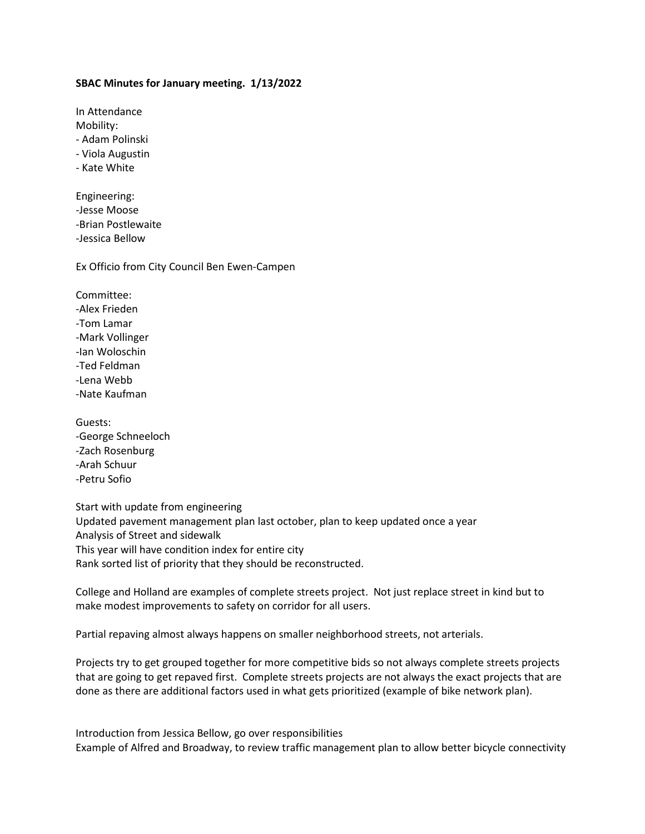## **SBAC Minutes for January meeting. 1/13/2022**

In Attendance Mobility: - Adam Polinski - Viola Augustin

- Kate White

Engineering: -Jesse Moose -Brian Postlewaite -Jessica Bellow

Ex Officio from City Council Ben Ewen-Campen

Committee:

-Alex Frieden

-Tom Lamar

-Mark Vollinger

-Ian Woloschin

-Ted Feldman

-Lena Webb

-Nate Kaufman

Guests: -George Schneeloch -Zach Rosenburg -Arah Schuur -Petru Sofio

Start with update from engineering Updated pavement management plan last october, plan to keep updated once a year Analysis of Street and sidewalk This year will have condition index for entire city Rank sorted list of priority that they should be reconstructed.

College and Holland are examples of complete streets project. Not just replace street in kind but to make modest improvements to safety on corridor for all users.

Partial repaving almost always happens on smaller neighborhood streets, not arterials.

Projects try to get grouped together for more competitive bids so not always complete streets projects that are going to get repaved first. Complete streets projects are not always the exact projects that are done as there are additional factors used in what gets prioritized (example of bike network plan).

Introduction from Jessica Bellow, go over responsibilities Example of Alfred and Broadway, to review traffic management plan to allow better bicycle connectivity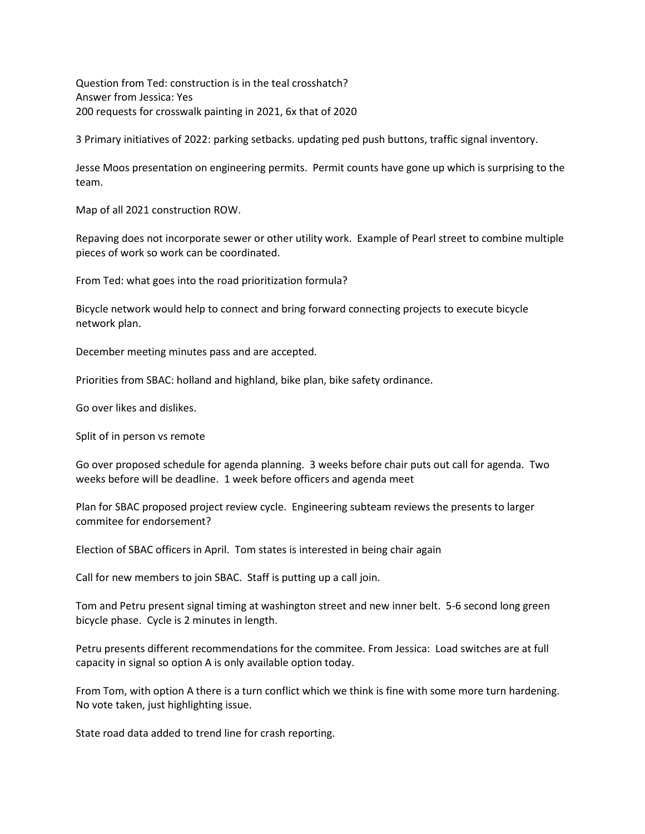Question from Ted: construction is in the teal crosshatch? Answer from Jessica: Yes 200 requests for crosswalk painting in 2021, 6x that of 2020

3 Primary initiatives of 2022: parking setbacks. updating ped push buttons, traffic signal inventory.

Jesse Moos presentation on engineering permits. Permit counts have gone up which is surprising to the team.

Map of all 2021 construction ROW.

Repaving does not incorporate sewer or other utility work. Example of Pearl street to combine multiple pieces of work so work can be coordinated.

From Ted: what goes into the road prioritization formula?

Bicycle network would help to connect and bring forward connecting projects to execute bicycle network plan.

December meeting minutes pass and are accepted.

Priorities from SBAC: holland and highland, bike plan, bike safety ordinance.

Go over likes and dislikes.

Split of in person vs remote

Go over proposed schedule for agenda planning. 3 weeks before chair puts out call for agenda. Two weeks before will be deadline. 1 week before officers and agenda meet

Plan for SBAC proposed project review cycle. Engineering subteam reviews the presents to larger commitee for endorsement?

Election of SBAC officers in April. Tom states is interested in being chair again

Call for new members to join SBAC. Staff is putting up a call join.

Tom and Petru present signal timing at washington street and new inner belt. 5-6 second long green bicycle phase. Cycle is 2 minutes in length.

Petru presents different recommendations for the commitee. From Jessica: Load switches are at full capacity in signal so option A is only available option today.

From Tom, with option A there is a turn conflict which we think is fine with some more turn hardening. No vote taken, just highlighting issue.

State road data added to trend line for crash reporting.